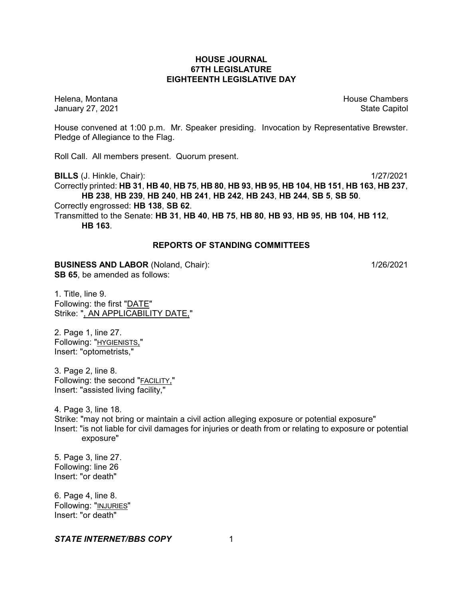## **HOUSE JOURNAL 67TH LEGISLATURE EIGHTEENTH LEGISLATIVE DAY**

Helena, Montana House Chambers Chambers Chambers and House Chambers Chambers Chambers Chambers Chambers Chambers Chambers Chambers Chambers Chambers Chambers Chambers Chambers Chambers Chambers Chambers Chambers Chambers C January 27, 2021 **State Capitol** 

House convened at 1:00 p.m. Mr. Speaker presiding. Invocation by Representative Brewster. Pledge of Allegiance to the Flag.

Roll Call. All members present. Quorum present.

**BILLS** (J. Hinkle, Chair): 1/27/2021 Correctly printed: HB 31, HB 40, HB 75, HB 80, HB 93, HB 95, HB 104, HB 151, HB 163, HB 237, **HB 238**, **HB 239**, **HB 240**, **HB 241**, **HB 242**, **HB 243**, **HB 244**, **SB 5**, **SB 50**. Correctly engrossed: **HB 138**, **SB 62**. Transmitted to the Senate: **HB 31**, **HB 40**, **HB 75**, **HB 80**, **HB 93**, **HB 95**, **HB 104**, **HB 112**, **HB 163**.

## **REPORTS OF STANDING COMMITTEES**

#### **BUSINESS AND LABOR** (Noland, Chair): 1/26/2021 **SB 65**, be amended as follows:

1. Title, line 9. Following: the first "DATE" Strike: ", AN APPLICABILITY DATE,"

2. Page 1, line 27. Following: "HYGIENISTS," Insert: "optometrists,"

3. Page 2, line 8. Following: the second "FACILITY," Insert: "assisted living facility,"

4. Page 3, line 18. Strike: "may not bring or maintain a civil action alleging exposure or potential exposure" Insert: "is not liable for civil damages for injuries or death from or relating to exposure or potential exposure"

5. Page 3, line 27. Following: line 26 Insert: "or death"

6. Page 4, line 8. Following: "INJURIES" Insert: "or death"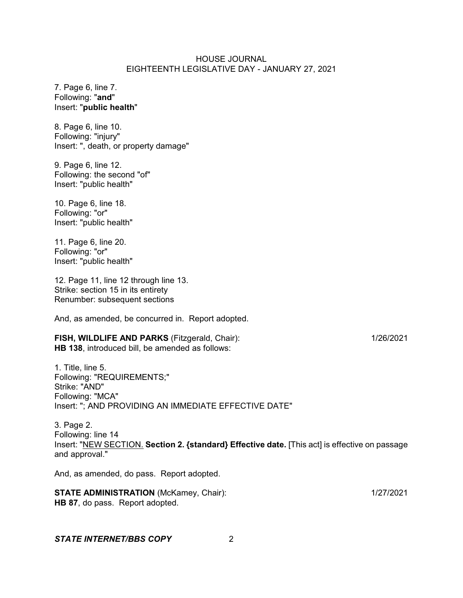7. Page 6, line 7. Following: "**and**" Insert: "**public health**"

8. Page 6, line 10. Following: "injury" Insert: ", death, or property damage"

9. Page 6, line 12. Following: the second "of" Insert: "public health"

10. Page 6, line 18. Following: "or" Insert: "public health"

11. Page 6, line 20. Following: "or" Insert: "public health"

12. Page 11, line 12 through line 13. Strike: section 15 in its entirety Renumber: subsequent sections

And, as amended, be concurred in. Report adopted.

### **FISH, WILDLIFE AND PARKS** (Fitzgerald, Chair): 1/26/2021 **HB 138**, introduced bill, be amended as follows:

1. Title, line 5. Following: "REQUIREMENTS;" Strike: "AND" Following: "MCA" Insert: "; AND PROVIDING AN IMMEDIATE EFFECTIVE DATE"

3. Page 2. Following: line 14 Insert: "NEW SECTION. **Section 2. {standard} Effective date.** [This act] is effective on passage and approval."

And, as amended, do pass. Report adopted.

**STATE ADMINISTRATION** (McKamey, Chair): 1/27/2021 **HB 87**, do pass. Report adopted.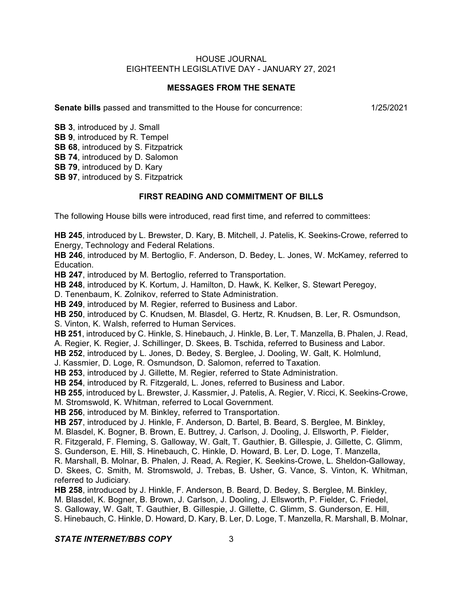## **MESSAGES FROM THE SENATE**

**Senate bills** passed and transmitted to the House for concurrence: 1/25/2021

**SB 3**, introduced by J. Small **SB 9**, introduced by R. Tempel

**SB 68**, introduced by S. Fitzpatrick

**SB 74**, introduced by D. Salomon

**SB 79**, introduced by D. Kary

**SB 97.** introduced by S. Fitzpatrick

# **FIRST READING AND COMMITMENT OF BILLS**

The following House bills were introduced, read first time, and referred to committees:

**HB 245**, introduced by L. Brewster, D. Kary, B. Mitchell, J. Patelis, K. Seekins-Crowe, referred to Energy, Technology and Federal Relations.

**HB 246**, introduced by M. Bertoglio, F. Anderson, D. Bedey, L. Jones, W. McKamey, referred to Education.

**HB 247**, introduced by M. Bertoglio, referred to Transportation.

**HB 248**, introduced by K. Kortum, J. Hamilton, D. Hawk, K. Kelker, S. Stewart Peregoy,

D. Tenenbaum, K. Zolnikov, referred to State Administration.

**HB 249**, introduced by M. Regier, referred to Business and Labor.

**HB 250**, introduced by C. Knudsen, M. Blasdel, G. Hertz, R. Knudsen, B. Ler, R. Osmundson, S. Vinton, K. Walsh, referred to Human Services.

**HB 251**, introduced by C. Hinkle, S. Hinebauch, J. Hinkle, B. Ler, T. Manzella, B. Phalen, J. Read, A. Regier, K. Regier, J. Schillinger, D. Skees, B. Tschida, referred to Business and Labor.

**HB 252**, introduced by L. Jones, D. Bedey, S. Berglee, J. Dooling, W. Galt, K. Holmlund,

J. Kassmier, D. Loge, R. Osmundson, D. Salomon, referred to Taxation.

**HB 253**, introduced by J. Gillette, M. Regier, referred to State Administration.

**HB 254**, introduced by R. Fitzgerald, L. Jones, referred to Business and Labor.

**HB 255**, introduced by L. Brewster, J. Kassmier, J. Patelis, A. Regier, V. Ricci, K. Seekins-Crowe,

M. Stromswold, K. Whitman, referred to Local Government.

**HB 256**, introduced by M. Binkley, referred to Transportation.

**HB 257**, introduced by J. Hinkle, F. Anderson, D. Bartel, B. Beard, S. Berglee, M. Binkley,

M. Blasdel, K. Bogner, B. Brown, E. Buttrey, J. Carlson, J. Dooling, J. Ellsworth, P. Fielder,

R. Fitzgerald, F. Fleming, S. Galloway, W. Galt, T. Gauthier, B. Gillespie, J. Gillette, C. Glimm,

S. Gunderson, E. Hill, S. Hinebauch, C. Hinkle, D. Howard, B. Ler, D. Loge, T. Manzella,

R. Marshall, B. Molnar, B. Phalen, J. Read, A. Regier, K. Seekins-Crowe, L. Sheldon-Galloway,

D. Skees, C. Smith, M. Stromswold, J. Trebas, B. Usher, G. Vance, S. Vinton, K. Whitman, referred to Judiciary.

**HB 258**, introduced by J. Hinkle, F. Anderson, B. Beard, D. Bedey, S. Berglee, M. Binkley,

M. Blasdel, K. Bogner, B. Brown, J. Carlson, J. Dooling, J. Ellsworth, P. Fielder, C. Friedel,

S. Galloway, W. Galt, T. Gauthier, B. Gillespie, J. Gillette, C. Glimm, S. Gunderson, E. Hill,

S. Hinebauch, C. Hinkle, D. Howard, D. Kary, B. Ler, D. Loge, T. Manzella, R. Marshall, B. Molnar,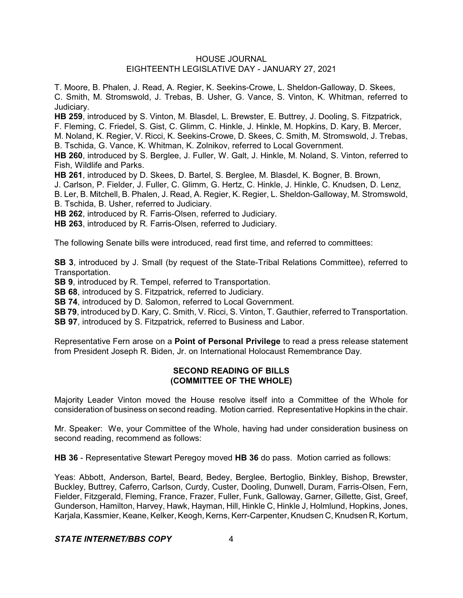T. Moore, B. Phalen, J. Read, A. Regier, K. Seekins-Crowe, L. Sheldon-Galloway, D. Skees, C. Smith, M. Stromswold, J. Trebas, B. Usher, G. Vance, S. Vinton, K. Whitman, referred to Judiciary.

**HB 259**, introduced by S. Vinton, M. Blasdel, L. Brewster, E. Buttrey, J. Dooling, S. Fitzpatrick, F. Fleming, C. Friedel, S. Gist, C. Glimm, C. Hinkle, J. Hinkle, M. Hopkins, D. Kary, B. Mercer, M. Noland, K. Regier, V. Ricci, K. Seekins-Crowe, D. Skees, C. Smith, M. Stromswold, J. Trebas,

B. Tschida, G. Vance, K. Whitman, K. Zolnikov, referred to Local Government.

**HB 260**, introduced by S. Berglee, J. Fuller, W. Galt, J. Hinkle, M. Noland, S. Vinton, referred to Fish, Wildlife and Parks.

**HB 261**, introduced by D. Skees, D. Bartel, S. Berglee, M. Blasdel, K. Bogner, B. Brown,

J. Carlson, P. Fielder, J. Fuller, C. Glimm, G. Hertz, C. Hinkle, J. Hinkle, C. Knudsen, D. Lenz,

B. Ler, B. Mitchell, B. Phalen, J. Read, A. Regier, K. Regier, L. Sheldon-Galloway, M. Stromswold,

B. Tschida, B. Usher, referred to Judiciary.

**HB 262**, introduced by R. Farris-Olsen, referred to Judiciary.

**HB 263**, introduced by R. Farris-Olsen, referred to Judiciary.

The following Senate bills were introduced, read first time, and referred to committees:

**SB 3**, introduced by J. Small (by request of the State-Tribal Relations Committee), referred to Transportation.

**SB 9**, introduced by R. Tempel, referred to Transportation.

**SB 68**, introduced by S. Fitzpatrick, referred to Judiciary.

**SB 74**, introduced by D. Salomon, referred to Local Government.

**SB 79**, introduced by D. Kary, C. Smith, V. Ricci, S. Vinton, T. Gauthier, referred to Transportation. **SB 97**, introduced by S. Fitzpatrick, referred to Business and Labor.

Representative Fern arose on a **Point of Personal Privilege** to read a press release statement from President Joseph R. Biden, Jr. on International Holocaust Remembrance Day.

## **SECOND READING OF BILLS (COMMITTEE OF THE WHOLE)**

Majority Leader Vinton moved the House resolve itself into a Committee of the Whole for consideration of business on second reading. Motion carried. Representative Hopkins in the chair.

Mr. Speaker: We, your Committee of the Whole, having had under consideration business on second reading, recommend as follows:

**HB 36** - Representative Stewart Peregoy moved **HB 36** do pass. Motion carried as follows:

Yeas: Abbott, Anderson, Bartel, Beard, Bedey, Berglee, Bertoglio, Binkley, Bishop, Brewster, Buckley, Buttrey, Caferro, Carlson, Curdy, Custer, Dooling, Dunwell, Duram, Farris-Olsen, Fern, Fielder, Fitzgerald, Fleming, France, Frazer, Fuller, Funk, Galloway, Garner, Gillette, Gist, Greef, Gunderson, Hamilton, Harvey, Hawk, Hayman, Hill, Hinkle C, Hinkle J, Holmlund, Hopkins, Jones, Karjala, Kassmier, Keane, Kelker, Keogh, Kerns, Kerr-Carpenter, Knudsen C, Knudsen R, Kortum,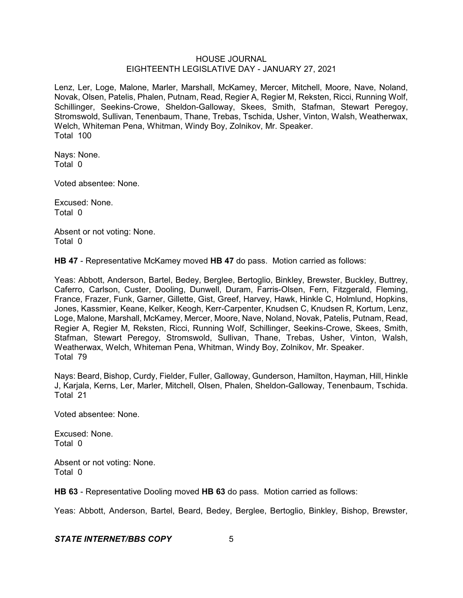Lenz, Ler, Loge, Malone, Marler, Marshall, McKamey, Mercer, Mitchell, Moore, Nave, Noland, Novak, Olsen, Patelis, Phalen, Putnam, Read, Regier A, Regier M, Reksten, Ricci, Running Wolf, Schillinger, Seekins-Crowe, Sheldon-Galloway, Skees, Smith, Stafman, Stewart Peregoy, Stromswold, Sullivan, Tenenbaum, Thane, Trebas, Tschida, Usher, Vinton, Walsh, Weatherwax, Welch, Whiteman Pena, Whitman, Windy Boy, Zolnikov, Mr. Speaker. Total 100

Nays: None. Total 0

Voted absentee: None.

Excused: None. Total 0

Absent or not voting: None. Total 0

**HB 47** - Representative McKamey moved **HB 47** do pass. Motion carried as follows:

Yeas: Abbott, Anderson, Bartel, Bedey, Berglee, Bertoglio, Binkley, Brewster, Buckley, Buttrey, Caferro, Carlson, Custer, Dooling, Dunwell, Duram, Farris-Olsen, Fern, Fitzgerald, Fleming, France, Frazer, Funk, Garner, Gillette, Gist, Greef, Harvey, Hawk, Hinkle C, Holmlund, Hopkins, Jones, Kassmier, Keane, Kelker, Keogh, Kerr-Carpenter, Knudsen C, Knudsen R, Kortum, Lenz, Loge, Malone, Marshall, McKamey, Mercer, Moore, Nave, Noland, Novak, Patelis, Putnam, Read, Regier A, Regier M, Reksten, Ricci, Running Wolf, Schillinger, Seekins-Crowe, Skees, Smith, Stafman, Stewart Peregoy, Stromswold, Sullivan, Thane, Trebas, Usher, Vinton, Walsh, Weatherwax, Welch, Whiteman Pena, Whitman, Windy Boy, Zolnikov, Mr. Speaker. Total 79

Nays: Beard, Bishop, Curdy, Fielder, Fuller, Galloway, Gunderson, Hamilton, Hayman, Hill, Hinkle J, Karjala, Kerns, Ler, Marler, Mitchell, Olsen, Phalen, Sheldon-Galloway, Tenenbaum, Tschida. Total 21

Voted absentee: None.

Excused: None. Total 0

Absent or not voting: None. Total 0

**HB 63** - Representative Dooling moved **HB 63** do pass. Motion carried as follows:

Yeas: Abbott, Anderson, Bartel, Beard, Bedey, Berglee, Bertoglio, Binkley, Bishop, Brewster,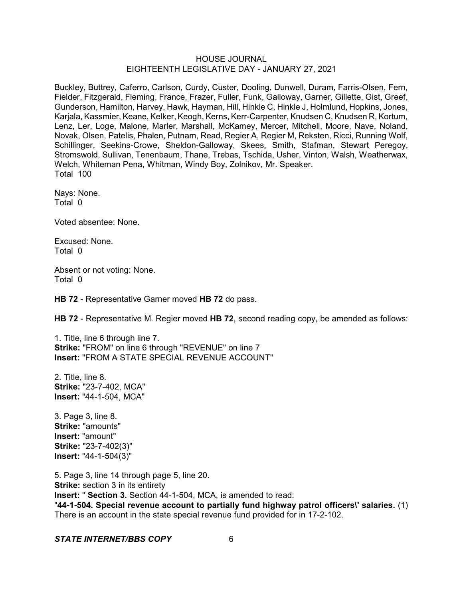Buckley, Buttrey, Caferro, Carlson, Curdy, Custer, Dooling, Dunwell, Duram, Farris-Olsen, Fern, Fielder, Fitzgerald, Fleming, France, Frazer, Fuller, Funk, Galloway, Garner, Gillette, Gist, Greef, Gunderson, Hamilton, Harvey, Hawk, Hayman, Hill, Hinkle C, Hinkle J, Holmlund, Hopkins, Jones, Karjala, Kassmier, Keane, Kelker, Keogh, Kerns, Kerr-Carpenter, Knudsen C, Knudsen R, Kortum, Lenz, Ler, Loge, Malone, Marler, Marshall, McKamey, Mercer, Mitchell, Moore, Nave, Noland, Novak, Olsen, Patelis, Phalen, Putnam, Read, Regier A, Regier M, Reksten, Ricci, Running Wolf, Schillinger, Seekins-Crowe, Sheldon-Galloway, Skees, Smith, Stafman, Stewart Peregoy, Stromswold, Sullivan, Tenenbaum, Thane, Trebas, Tschida, Usher, Vinton, Walsh, Weatherwax, Welch, Whiteman Pena, Whitman, Windy Boy, Zolnikov, Mr. Speaker. Total 100

Nays: None. Total 0

Voted absentee: None.

Excused: None. Total 0

Absent or not voting: None. Total 0

**HB 72** - Representative Garner moved **HB 72** do pass.

**HB 72** - Representative M. Regier moved **HB 72**, second reading copy, be amended as follows:

1. Title, line 6 through line 7. **Strike:** "FROM" on line 6 through "REVENUE" on line 7 **Insert:** "FROM A STATE SPECIAL REVENUE ACCOUNT"

2. Title, line 8. **Strike:** "23-7-402, MCA" **Insert:** "44-1-504, MCA"

3. Page 3, line 8. **Strike:** "amounts" **Insert:** "amount" **Strike:** "23-7-402(3)" **Insert:** "44-1-504(3)"

5. Page 3, line 14 through page 5, line 20. **Strike:** section 3 in its entirety **Insert:** " **Section 3.** Section 44-1-504, MCA, is amended to read: "**44-1-504. Special revenue account to partially fund highway patrol officers\' salaries.** (1) There is an account in the state special revenue fund provided for in 17-2-102.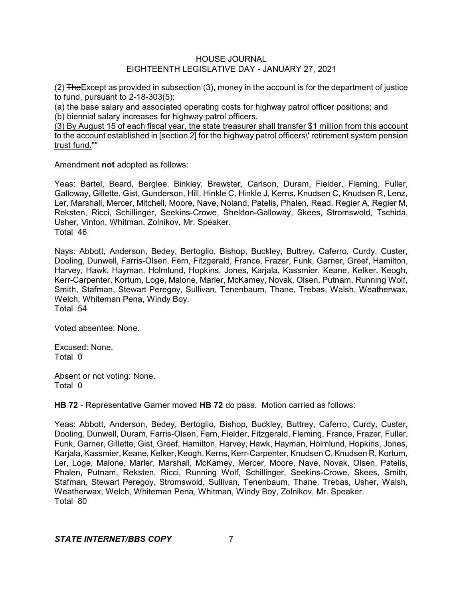$(2)$  The Except as provided in subsection  $(3)$ , money in the account is for the department of justice to fund, pursuant to 2-18-303(5):

(a) the base salary and associated operating costs for highway patrol officer positions; and (b) biennial salary increases for highway patrol officers.

(3) By August 15 of each fiscal year, the state treasurer shall transfer \$1 million from this account to the account established in [section 2] for the highway patrol officers\' retirement system pension trust fund.""

Amendment **not** adopted as follows:

Yeas: Bartel, Beard, Berglee, Binkley, Brewster, Carlson, Duram, Fielder, Fleming, Fuller, Galloway, Gillette, Gist, Gunderson, Hill, Hinkle C, Hinkle J, Kerns, Knudsen C, Knudsen R, Lenz, Ler, Marshall, Mercer, Mitchell, Moore, Nave, Noland, Patelis, Phalen, Read, Regier A, Regier M, Reksten, Ricci, Schillinger, Seekins-Crowe, Sheldon-Galloway, Skees, Stromswold, Tschida, Usher, Vinton, Whitman, Zolnikov, Mr. Speaker. Total 46

Nays: Abbott, Anderson, Bedey, Bertoglio, Bishop, Buckley, Buttrey, Caferro, Curdy, Custer, Dooling, Dunwell, Farris-Olsen, Fern, Fitzgerald, France, Frazer, Funk, Garner, Greef, Hamilton, Harvey, Hawk, Hayman, Holmlund, Hopkins, Jones, Karjala, Kassmier, Keane, Kelker, Keogh, Kerr-Carpenter, Kortum, Loge, Malone, Marler, McKamey, Novak, Olsen, Putnam, Running Wolf, Smith, Stafman, Stewart Peregoy, Sullivan, Tenenbaum, Thane, Trebas, Walsh, Weatherwax, Welch, Whiteman Pena, Windy Boy. Total 54

Voted absentee: None.

Excused: None. Total 0

Absent or not voting: None. Total 0

**HB 72** - Representative Garner moved **HB 72** do pass. Motion carried as follows:

Yeas: Abbott, Anderson, Bedey, Bertoglio, Bishop, Buckley, Buttrey, Caferro, Curdy, Custer, Dooling, Dunwell, Duram, Farris-Olsen, Fern, Fielder, Fitzgerald, Fleming, France, Frazer, Fuller, Funk, Garner, Gillette, Gist, Greef, Hamilton, Harvey, Hawk, Hayman, Holmlund, Hopkins, Jones, Karjala, Kassmier, Keane, Kelker, Keogh, Kerns, Kerr-Carpenter, Knudsen C, Knudsen R, Kortum, Ler, Loge, Malone, Marler, Marshall, McKamey, Mercer, Moore, Nave, Novak, Olsen, Patelis, Phalen, Putnam, Reksten, Ricci, Running Wolf, Schillinger, Seekins-Crowe, Skees, Smith, Stafman, Stewart Peregoy, Stromswold, Sullivan, Tenenbaum, Thane, Trebas, Usher, Walsh, Weatherwax, Welch, Whiteman Pena, Whitman, Windy Boy, Zolnikov, Mr. Speaker. Total 80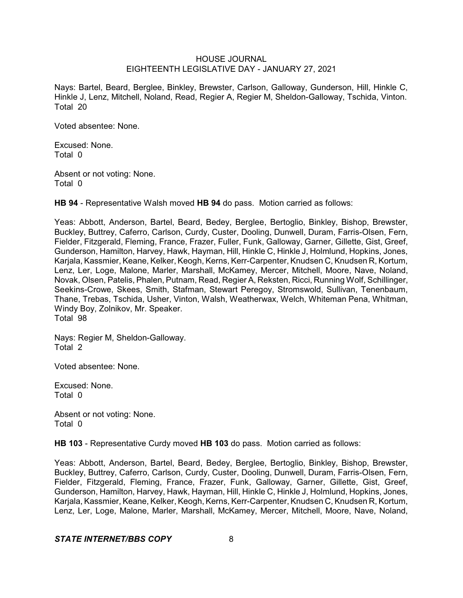Nays: Bartel, Beard, Berglee, Binkley, Brewster, Carlson, Galloway, Gunderson, Hill, Hinkle C, Hinkle J, Lenz, Mitchell, Noland, Read, Regier A, Regier M, Sheldon-Galloway, Tschida, Vinton. Total 20

Voted absentee: None.

Excused: None. Total 0

Absent or not voting: None. Total 0

**HB 94** - Representative Walsh moved **HB 94** do pass. Motion carried as follows:

Yeas: Abbott, Anderson, Bartel, Beard, Bedey, Berglee, Bertoglio, Binkley, Bishop, Brewster, Buckley, Buttrey, Caferro, Carlson, Curdy, Custer, Dooling, Dunwell, Duram, Farris-Olsen, Fern, Fielder, Fitzgerald, Fleming, France, Frazer, Fuller, Funk, Galloway, Garner, Gillette, Gist, Greef, Gunderson, Hamilton, Harvey, Hawk, Hayman, Hill, Hinkle C, Hinkle J, Holmlund, Hopkins, Jones, Karjala, Kassmier, Keane, Kelker, Keogh, Kerns, Kerr-Carpenter, Knudsen C, Knudsen R, Kortum, Lenz, Ler, Loge, Malone, Marler, Marshall, McKamey, Mercer, Mitchell, Moore, Nave, Noland, Novak, Olsen, Patelis, Phalen, Putnam, Read, Regier A, Reksten, Ricci, Running Wolf, Schillinger, Seekins-Crowe, Skees, Smith, Stafman, Stewart Peregoy, Stromswold, Sullivan, Tenenbaum, Thane, Trebas, Tschida, Usher, Vinton, Walsh, Weatherwax, Welch, Whiteman Pena, Whitman, Windy Boy, Zolnikov, Mr. Speaker. Total 98

Nays: Regier M, Sheldon-Galloway. Total 2

Voted absentee: None.

Excused: None. Total 0

Absent or not voting: None. Total 0

**HB 103** - Representative Curdy moved **HB 103** do pass. Motion carried as follows:

Yeas: Abbott, Anderson, Bartel, Beard, Bedey, Berglee, Bertoglio, Binkley, Bishop, Brewster, Buckley, Buttrey, Caferro, Carlson, Curdy, Custer, Dooling, Dunwell, Duram, Farris-Olsen, Fern, Fielder, Fitzgerald, Fleming, France, Frazer, Funk, Galloway, Garner, Gillette, Gist, Greef, Gunderson, Hamilton, Harvey, Hawk, Hayman, Hill, Hinkle C, Hinkle J, Holmlund, Hopkins, Jones, Karjala, Kassmier, Keane, Kelker, Keogh,Kerns, Kerr-Carpenter, Knudsen C, Knudsen R, Kortum, Lenz, Ler, Loge, Malone, Marler, Marshall, McKamey, Mercer, Mitchell, Moore, Nave, Noland,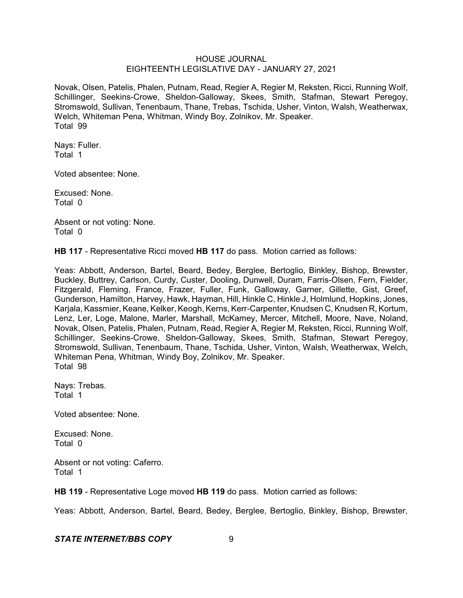Novak, Olsen, Patelis, Phalen, Putnam, Read, Regier A, Regier M, Reksten, Ricci, Running Wolf, Schillinger, Seekins-Crowe, Sheldon-Galloway, Skees, Smith, Stafman, Stewart Peregoy, Stromswold, Sullivan, Tenenbaum, Thane, Trebas, Tschida, Usher, Vinton, Walsh, Weatherwax, Welch, Whiteman Pena, Whitman, Windy Boy, Zolnikov, Mr. Speaker. Total 99

Nays: Fuller. Total 1

Voted absentee: None.

Excused: None. Total 0

Absent or not voting: None. Total 0

**HB 117** - Representative Ricci moved **HB 117** do pass. Motion carried as follows:

Yeas: Abbott, Anderson, Bartel, Beard, Bedey, Berglee, Bertoglio, Binkley, Bishop, Brewster, Buckley, Buttrey, Carlson, Curdy, Custer, Dooling, Dunwell, Duram, Farris-Olsen, Fern, Fielder, Fitzgerald, Fleming, France, Frazer, Fuller, Funk, Galloway, Garner, Gillette, Gist, Greef, Gunderson, Hamilton, Harvey, Hawk, Hayman, Hill, Hinkle C, Hinkle J, Holmlund, Hopkins, Jones, Karjala, Kassmier, Keane, Kelker, Keogh, Kerns, Kerr-Carpenter, Knudsen C, Knudsen R, Kortum, Lenz, Ler, Loge, Malone, Marler, Marshall, McKamey, Mercer, Mitchell, Moore, Nave, Noland, Novak, Olsen, Patelis, Phalen, Putnam, Read, Regier A, Regier M, Reksten, Ricci, Running Wolf, Schillinger, Seekins-Crowe, Sheldon-Galloway, Skees, Smith, Stafman, Stewart Peregoy, Stromswold, Sullivan, Tenenbaum, Thane, Tschida, Usher, Vinton, Walsh, Weatherwax, Welch, Whiteman Pena, Whitman, Windy Boy, Zolnikov, Mr. Speaker. Total 98

Nays: Trebas. Total 1

Voted absentee: None.

Excused: None. Total 0

Absent or not voting: Caferro. Total 1

**HB 119** - Representative Loge moved **HB 119** do pass. Motion carried as follows:

Yeas: Abbott, Anderson, Bartel, Beard, Bedey, Berglee, Bertoglio, Binkley, Bishop, Brewster,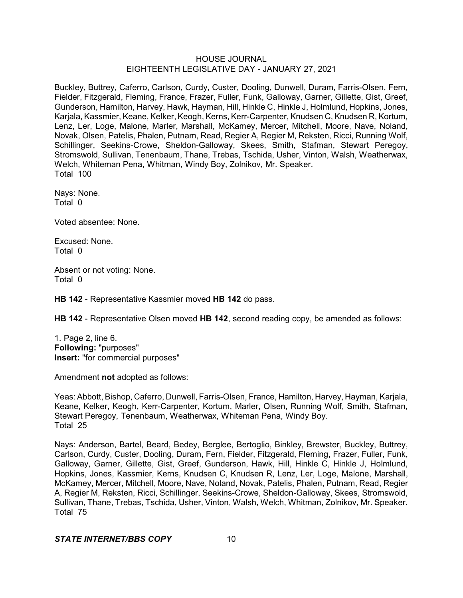Buckley, Buttrey, Caferro, Carlson, Curdy, Custer, Dooling, Dunwell, Duram, Farris-Olsen, Fern, Fielder, Fitzgerald, Fleming, France, Frazer, Fuller, Funk, Galloway, Garner, Gillette, Gist, Greef, Gunderson, Hamilton, Harvey, Hawk, Hayman, Hill, Hinkle C, Hinkle J, Holmlund, Hopkins, Jones, Karjala, Kassmier, Keane, Kelker, Keogh, Kerns, Kerr-Carpenter, Knudsen C, Knudsen R, Kortum, Lenz, Ler, Loge, Malone, Marler, Marshall, McKamey, Mercer, Mitchell, Moore, Nave, Noland, Novak, Olsen, Patelis, Phalen, Putnam, Read, Regier A, Regier M, Reksten, Ricci, Running Wolf, Schillinger, Seekins-Crowe, Sheldon-Galloway, Skees, Smith, Stafman, Stewart Peregoy, Stromswold, Sullivan, Tenenbaum, Thane, Trebas, Tschida, Usher, Vinton, Walsh, Weatherwax, Welch, Whiteman Pena, Whitman, Windy Boy, Zolnikov, Mr. Speaker. Total 100

Nays: None. Total 0

Voted absentee: None.

Excused: None. Total 0

Absent or not voting: None. Total 0

**HB 142** - Representative Kassmier moved **HB 142** do pass.

**HB 142** - Representative Olsen moved **HB 142**, second reading copy, be amended as follows:

1. Page 2, line 6. **Following:** "purposes" **Insert:** "for commercial purposes"

Amendment **not** adopted as follows:

Yeas: Abbott, Bishop, Caferro, Dunwell, Farris-Olsen, France, Hamilton, Harvey, Hayman, Karjala, Keane, Kelker, Keogh, Kerr-Carpenter, Kortum, Marler, Olsen, Running Wolf, Smith, Stafman, Stewart Peregoy, Tenenbaum, Weatherwax, Whiteman Pena, Windy Boy. Total 25

Nays: Anderson, Bartel, Beard, Bedey, Berglee, Bertoglio, Binkley, Brewster, Buckley, Buttrey, Carlson, Curdy, Custer, Dooling, Duram, Fern, Fielder, Fitzgerald, Fleming, Frazer, Fuller, Funk, Galloway, Garner, Gillette, Gist, Greef, Gunderson, Hawk, Hill, Hinkle C, Hinkle J, Holmlund, Hopkins, Jones, Kassmier, Kerns, Knudsen C, Knudsen R, Lenz, Ler, Loge, Malone, Marshall, McKamey, Mercer, Mitchell, Moore, Nave, Noland, Novak, Patelis, Phalen, Putnam, Read, Regier A, Regier M, Reksten, Ricci, Schillinger, Seekins-Crowe, Sheldon-Galloway, Skees, Stromswold, Sullivan, Thane, Trebas, Tschida, Usher, Vinton, Walsh, Welch, Whitman, Zolnikov, Mr. Speaker. Total 75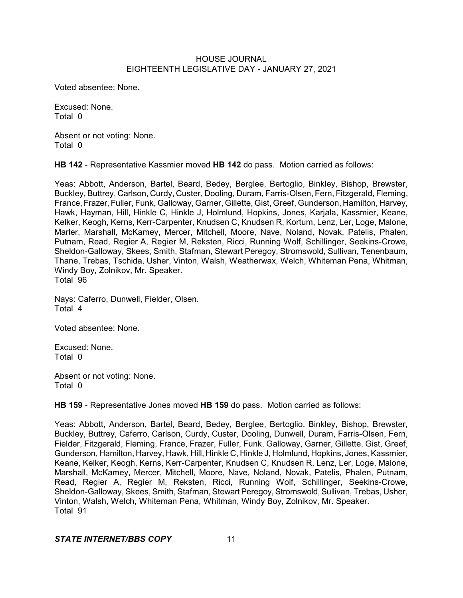Voted absentee: None.

Excused: None. Total 0

Absent or not voting: None. Total 0

**HB 142** - Representative Kassmier moved **HB 142** do pass. Motion carried as follows:

Yeas: Abbott, Anderson, Bartel, Beard, Bedey, Berglee, Bertoglio, Binkley, Bishop, Brewster, Buckley, Buttrey, Carlson, Curdy, Custer, Dooling, Duram, Farris-Olsen, Fern, Fitzgerald, Fleming, France, Frazer, Fuller, Funk, Galloway, Garner, Gillette, Gist, Greef, Gunderson, Hamilton, Harvey, Hawk, Hayman, Hill, Hinkle C, Hinkle J, Holmlund, Hopkins, Jones, Karjala, Kassmier, Keane, Kelker, Keogh, Kerns, Kerr-Carpenter, Knudsen C, Knudsen R, Kortum, Lenz, Ler, Loge, Malone, Marler, Marshall, McKamey, Mercer, Mitchell, Moore, Nave, Noland, Novak, Patelis, Phalen, Putnam, Read, Regier A, Regier M, Reksten, Ricci, Running Wolf, Schillinger, Seekins-Crowe, Sheldon-Galloway, Skees, Smith, Stafman, Stewart Peregoy, Stromswold, Sullivan, Tenenbaum, Thane, Trebas, Tschida, Usher, Vinton, Walsh, Weatherwax, Welch, Whiteman Pena, Whitman, Windy Boy, Zolnikov, Mr. Speaker. Total 96

Nays: Caferro, Dunwell, Fielder, Olsen. Total 4

Voted absentee: None.

Excused: None. Total 0

Absent or not voting: None. Total 0

**HB 159** - Representative Jones moved **HB 159** do pass. Motion carried as follows:

Yeas: Abbott, Anderson, Bartel, Beard, Bedey, Berglee, Bertoglio, Binkley, Bishop, Brewster, Buckley, Buttrey, Caferro, Carlson, Curdy, Custer, Dooling, Dunwell, Duram, Farris-Olsen, Fern, Fielder, Fitzgerald, Fleming, France, Frazer, Fuller, Funk, Galloway, Garner, Gillette, Gist, Greef, Gunderson, Hamilton, Harvey, Hawk, Hill, Hinkle C, Hinkle J, Holmlund, Hopkins, Jones, Kassmier, Keane, Kelker, Keogh, Kerns, Kerr-Carpenter, Knudsen C, Knudsen R, Lenz, Ler, Loge, Malone, Marshall, McKamey, Mercer, Mitchell, Moore, Nave, Noland, Novak, Patelis, Phalen, Putnam, Read, Regier A, Regier M, Reksten, Ricci, Running Wolf, Schillinger, Seekins-Crowe, Sheldon-Galloway, Skees, Smith, Stafman, Stewart Peregoy, Stromswold, Sullivan, Trebas, Usher, Vinton, Walsh, Welch, Whiteman Pena, Whitman, Windy Boy, Zolnikov, Mr. Speaker. Total 91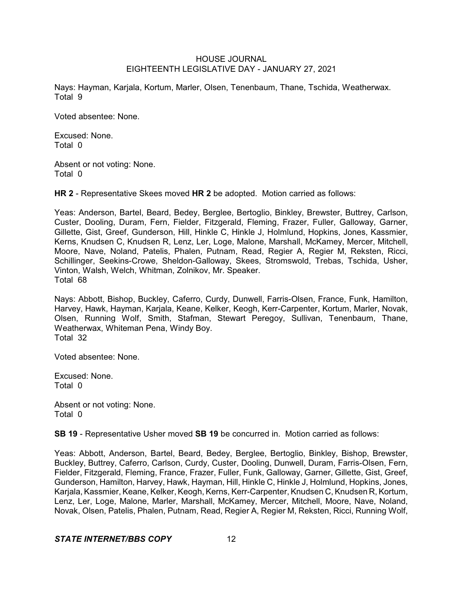Nays: Hayman, Karjala, Kortum, Marler, Olsen, Tenenbaum, Thane, Tschida, Weatherwax. Total 9

Voted absentee: None.

Excused: None. Total 0

Absent or not voting: None. Total 0

**HR 2** - Representative Skees moved **HR 2** be adopted. Motion carried as follows:

Yeas: Anderson, Bartel, Beard, Bedey, Berglee, Bertoglio, Binkley, Brewster, Buttrey, Carlson, Custer, Dooling, Duram, Fern, Fielder, Fitzgerald, Fleming, Frazer, Fuller, Galloway, Garner, Gillette, Gist, Greef, Gunderson, Hill, Hinkle C, Hinkle J, Holmlund, Hopkins, Jones, Kassmier, Kerns, Knudsen C, Knudsen R, Lenz, Ler, Loge, Malone, Marshall, McKamey, Mercer, Mitchell, Moore, Nave, Noland, Patelis, Phalen, Putnam, Read, Regier A, Regier M, Reksten, Ricci, Schillinger, Seekins-Crowe, Sheldon-Galloway, Skees, Stromswold, Trebas, Tschida, Usher, Vinton, Walsh, Welch, Whitman, Zolnikov, Mr. Speaker. Total 68

Nays: Abbott, Bishop, Buckley, Caferro, Curdy, Dunwell, Farris-Olsen, France, Funk, Hamilton, Harvey, Hawk, Hayman, Karjala, Keane, Kelker, Keogh, Kerr-Carpenter, Kortum, Marler, Novak, Olsen, Running Wolf, Smith, Stafman, Stewart Peregoy, Sullivan, Tenenbaum, Thane, Weatherwax, Whiteman Pena, Windy Boy. Total 32

Voted absentee: None.

Excused: None. Total 0

Absent or not voting: None. Total 0

**SB 19** - Representative Usher moved **SB 19** be concurred in. Motion carried as follows:

Yeas: Abbott, Anderson, Bartel, Beard, Bedey, Berglee, Bertoglio, Binkley, Bishop, Brewster, Buckley, Buttrey, Caferro, Carlson, Curdy, Custer, Dooling, Dunwell, Duram, Farris-Olsen, Fern, Fielder, Fitzgerald, Fleming, France, Frazer, Fuller, Funk, Galloway, Garner, Gillette, Gist, Greef, Gunderson, Hamilton, Harvey, Hawk, Hayman, Hill, Hinkle C, Hinkle J, Holmlund, Hopkins, Jones, Karjala, Kassmier, Keane, Kelker, Keogh, Kerns, Kerr-Carpenter, Knudsen C, Knudsen R, Kortum, Lenz, Ler, Loge, Malone, Marler, Marshall, McKamey, Mercer, Mitchell, Moore, Nave, Noland, Novak, Olsen, Patelis, Phalen, Putnam, Read, Regier A, Regier M, Reksten, Ricci, Running Wolf,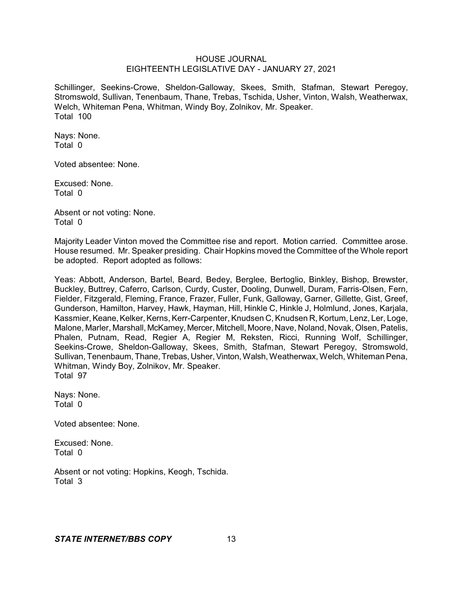Schillinger, Seekins-Crowe, Sheldon-Galloway, Skees, Smith, Stafman, Stewart Peregoy, Stromswold, Sullivan, Tenenbaum, Thane, Trebas, Tschida, Usher, Vinton, Walsh, Weatherwax, Welch, Whiteman Pena, Whitman, Windy Boy, Zolnikov, Mr. Speaker. Total 100

Nays: None. Total 0

Voted absentee: None.

Excused: None. Total 0

Absent or not voting: None. Total 0

Majority Leader Vinton moved the Committee rise and report. Motion carried. Committee arose. House resumed. Mr. Speaker presiding. Chair Hopkins moved the Committee of the Whole report be adopted. Report adopted as follows:

Yeas: Abbott, Anderson, Bartel, Beard, Bedey, Berglee, Bertoglio, Binkley, Bishop, Brewster, Buckley, Buttrey, Caferro, Carlson, Curdy, Custer, Dooling, Dunwell, Duram, Farris-Olsen, Fern, Fielder, Fitzgerald, Fleming, France, Frazer, Fuller, Funk, Galloway, Garner, Gillette, Gist, Greef, Gunderson, Hamilton, Harvey, Hawk, Hayman, Hill, Hinkle C, Hinkle J, Holmlund, Jones, Karjala, Kassmier, Keane, Kelker, Kerns, Kerr-Carpenter, Knudsen C, Knudsen R, Kortum, Lenz, Ler, Loge, Malone, Marler, Marshall, McKamey, Mercer, Mitchell, Moore, Nave, Noland, Novak, Olsen, Patelis, Phalen, Putnam, Read, Regier A, Regier M, Reksten, Ricci, Running Wolf, Schillinger, Seekins-Crowe, Sheldon-Galloway, Skees, Smith, Stafman, Stewart Peregoy, Stromswold, Sullivan, Tenenbaum, Thane, Trebas, Usher, Vinton, Walsh, Weatherwax, Welch, Whiteman Pena, Whitman, Windy Boy, Zolnikov, Mr. Speaker. Total 97

Nays: None. Total 0

Voted absentee: None.

Excused: None. Total 0

Absent or not voting: Hopkins, Keogh, Tschida. Total 3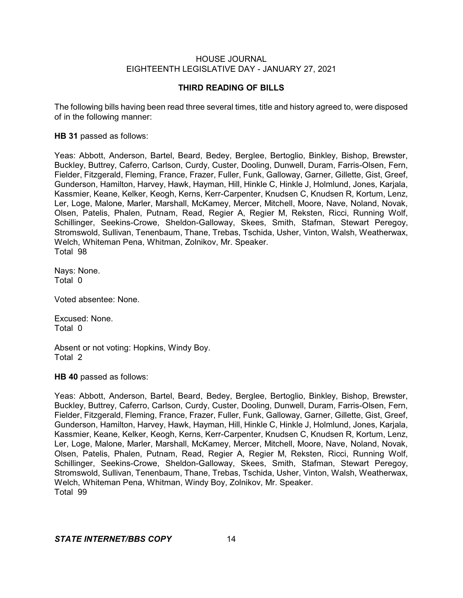## **THIRD READING OF BILLS**

The following bills having been read three several times, title and history agreed to, were disposed of in the following manner:

## **HB 31** passed as follows:

Yeas: Abbott, Anderson, Bartel, Beard, Bedey, Berglee, Bertoglio, Binkley, Bishop, Brewster, Buckley, Buttrey, Caferro, Carlson, Curdy, Custer, Dooling, Dunwell, Duram, Farris-Olsen, Fern, Fielder, Fitzgerald, Fleming, France, Frazer, Fuller, Funk, Galloway, Garner, Gillette, Gist, Greef, Gunderson, Hamilton, Harvey, Hawk, Hayman, Hill, Hinkle C, Hinkle J, Holmlund, Jones, Karjala, Kassmier, Keane, Kelker, Keogh, Kerns, Kerr-Carpenter, Knudsen C, Knudsen R, Kortum, Lenz, Ler, Loge, Malone, Marler, Marshall, McKamey, Mercer, Mitchell, Moore, Nave, Noland, Novak, Olsen, Patelis, Phalen, Putnam, Read, Regier A, Regier M, Reksten, Ricci, Running Wolf, Schillinger, Seekins-Crowe, Sheldon-Galloway, Skees, Smith, Stafman, Stewart Peregoy, Stromswold, Sullivan, Tenenbaum, Thane, Trebas, Tschida, Usher, Vinton, Walsh, Weatherwax, Welch, Whiteman Pena, Whitman, Zolnikov, Mr. Speaker. Total 98

Nays: None. Total 0

Voted absentee: None.

Excused: None. Total 0

Absent or not voting: Hopkins, Windy Boy. Total 2

**HB 40** passed as follows:

Yeas: Abbott, Anderson, Bartel, Beard, Bedey, Berglee, Bertoglio, Binkley, Bishop, Brewster, Buckley, Buttrey, Caferro, Carlson, Curdy, Custer, Dooling, Dunwell, Duram, Farris-Olsen, Fern, Fielder, Fitzgerald, Fleming, France, Frazer, Fuller, Funk, Galloway, Garner, Gillette, Gist, Greef, Gunderson, Hamilton, Harvey, Hawk, Hayman, Hill, Hinkle C, Hinkle J, Holmlund, Jones, Karjala, Kassmier, Keane, Kelker, Keogh, Kerns, Kerr-Carpenter, Knudsen C, Knudsen R, Kortum, Lenz, Ler, Loge, Malone, Marler, Marshall, McKamey, Mercer, Mitchell, Moore, Nave, Noland, Novak, Olsen, Patelis, Phalen, Putnam, Read, Regier A, Regier M, Reksten, Ricci, Running Wolf, Schillinger, Seekins-Crowe, Sheldon-Galloway, Skees, Smith, Stafman, Stewart Peregoy, Stromswold, Sullivan, Tenenbaum, Thane, Trebas, Tschida, Usher, Vinton, Walsh, Weatherwax, Welch, Whiteman Pena, Whitman, Windy Boy, Zolnikov, Mr. Speaker. Total 99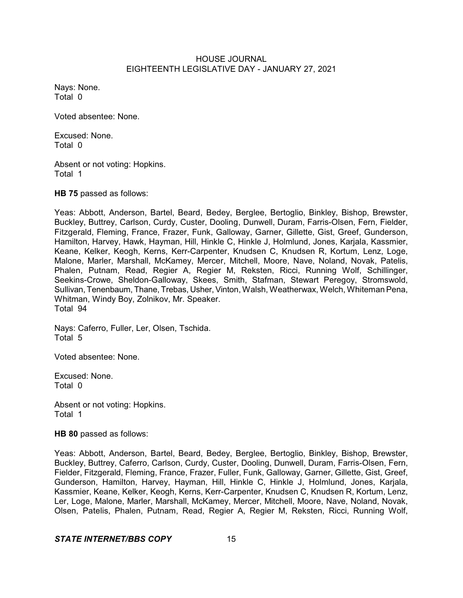Nays: None. Total 0

Voted absentee: None.

Excused: None. Total 0

Absent or not voting: Hopkins. Total 1

**HB 75** passed as follows:

Yeas: Abbott, Anderson, Bartel, Beard, Bedey, Berglee, Bertoglio, Binkley, Bishop, Brewster, Buckley, Buttrey, Carlson, Curdy, Custer, Dooling, Dunwell, Duram, Farris-Olsen, Fern, Fielder, Fitzgerald, Fleming, France, Frazer, Funk, Galloway, Garner, Gillette, Gist, Greef, Gunderson, Hamilton, Harvey, Hawk, Hayman, Hill, Hinkle C, Hinkle J, Holmlund, Jones, Karjala, Kassmier, Keane, Kelker, Keogh, Kerns, Kerr-Carpenter, Knudsen C, Knudsen R, Kortum, Lenz, Loge, Malone, Marler, Marshall, McKamey, Mercer, Mitchell, Moore, Nave, Noland, Novak, Patelis, Phalen, Putnam, Read, Regier A, Regier M, Reksten, Ricci, Running Wolf, Schillinger, Seekins-Crowe, Sheldon-Galloway, Skees, Smith, Stafman, Stewart Peregoy, Stromswold, Sullivan, Tenenbaum, Thane, Trebas, Usher, Vinton, Walsh, Weatherwax, Welch, Whiteman Pena, Whitman, Windy Boy, Zolnikov, Mr. Speaker. Total 94

Nays: Caferro, Fuller, Ler, Olsen, Tschida. Total 5

Voted absentee: None.

Excused: None. Total 0

Absent or not voting: Hopkins. Total 1

**HB 80** passed as follows:

Yeas: Abbott, Anderson, Bartel, Beard, Bedey, Berglee, Bertoglio, Binkley, Bishop, Brewster, Buckley, Buttrey, Caferro, Carlson, Curdy, Custer, Dooling, Dunwell, Duram, Farris-Olsen, Fern, Fielder, Fitzgerald, Fleming, France, Frazer, Fuller, Funk, Galloway, Garner, Gillette, Gist, Greef, Gunderson, Hamilton, Harvey, Hayman, Hill, Hinkle C, Hinkle J, Holmlund, Jones, Karjala, Kassmier, Keane, Kelker, Keogh, Kerns, Kerr-Carpenter, Knudsen C, Knudsen R, Kortum, Lenz, Ler, Loge, Malone, Marler, Marshall, McKamey, Mercer, Mitchell, Moore, Nave, Noland, Novak, Olsen, Patelis, Phalen, Putnam, Read, Regier A, Regier M, Reksten, Ricci, Running Wolf,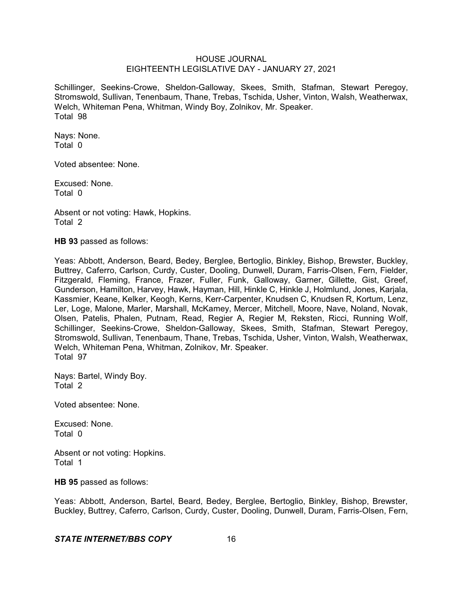Schillinger, Seekins-Crowe, Sheldon-Galloway, Skees, Smith, Stafman, Stewart Peregoy, Stromswold, Sullivan, Tenenbaum, Thane, Trebas, Tschida, Usher, Vinton, Walsh, Weatherwax, Welch, Whiteman Pena, Whitman, Windy Boy, Zolnikov, Mr. Speaker. Total 98

Nays: None. Total 0

Voted absentee: None.

Excused: None. Total 0

Absent or not voting: Hawk, Hopkins. Total 2

**HB 93** passed as follows:

Yeas: Abbott, Anderson, Beard, Bedey, Berglee, Bertoglio, Binkley, Bishop, Brewster, Buckley, Buttrey, Caferro, Carlson, Curdy, Custer, Dooling, Dunwell, Duram, Farris-Olsen, Fern, Fielder, Fitzgerald, Fleming, France, Frazer, Fuller, Funk, Galloway, Garner, Gillette, Gist, Greef, Gunderson, Hamilton, Harvey, Hawk, Hayman, Hill, Hinkle C, Hinkle J, Holmlund, Jones, Karjala, Kassmier, Keane, Kelker, Keogh, Kerns, Kerr-Carpenter, Knudsen C, Knudsen R, Kortum, Lenz, Ler, Loge, Malone, Marler, Marshall, McKamey, Mercer, Mitchell, Moore, Nave, Noland, Novak, Olsen, Patelis, Phalen, Putnam, Read, Regier A, Regier M, Reksten, Ricci, Running Wolf, Schillinger, Seekins-Crowe, Sheldon-Galloway, Skees, Smith, Stafman, Stewart Peregoy, Stromswold, Sullivan, Tenenbaum, Thane, Trebas, Tschida, Usher, Vinton, Walsh, Weatherwax, Welch, Whiteman Pena, Whitman, Zolnikov, Mr. Speaker. Total 97

Nays: Bartel, Windy Boy. Total 2

Voted absentee: None.

Excused: None. Total 0

Absent or not voting: Hopkins. Total 1

**HB 95** passed as follows:

Yeas: Abbott, Anderson, Bartel, Beard, Bedey, Berglee, Bertoglio, Binkley, Bishop, Brewster, Buckley, Buttrey, Caferro, Carlson, Curdy, Custer, Dooling, Dunwell, Duram, Farris-Olsen, Fern,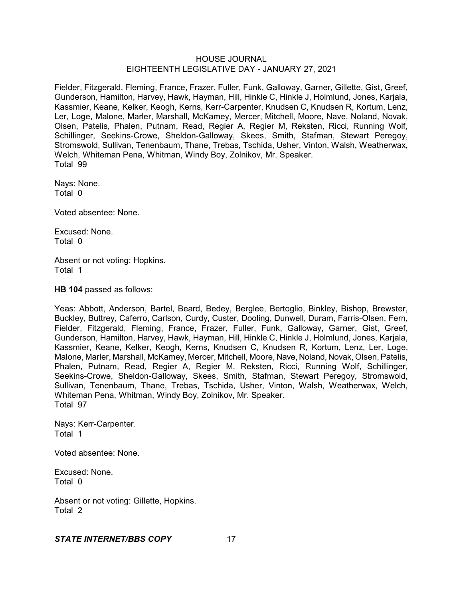Fielder, Fitzgerald, Fleming, France, Frazer, Fuller, Funk, Galloway, Garner, Gillette, Gist, Greef, Gunderson, Hamilton, Harvey, Hawk, Hayman, Hill, Hinkle C, Hinkle J, Holmlund, Jones, Karjala, Kassmier, Keane, Kelker, Keogh, Kerns, Kerr-Carpenter, Knudsen C, Knudsen R, Kortum, Lenz, Ler, Loge, Malone, Marler, Marshall, McKamey, Mercer, Mitchell, Moore, Nave, Noland, Novak, Olsen, Patelis, Phalen, Putnam, Read, Regier A, Regier M, Reksten, Ricci, Running Wolf, Schillinger, Seekins-Crowe, Sheldon-Galloway, Skees, Smith, Stafman, Stewart Peregoy, Stromswold, Sullivan, Tenenbaum, Thane, Trebas, Tschida, Usher, Vinton, Walsh, Weatherwax, Welch, Whiteman Pena, Whitman, Windy Boy, Zolnikov, Mr. Speaker. Total 99

Nays: None. Total 0

Voted absentee: None.

Excused: None. Total 0

Absent or not voting: Hopkins. Total 1

**HB 104** passed as follows:

Yeas: Abbott, Anderson, Bartel, Beard, Bedey, Berglee, Bertoglio, Binkley, Bishop, Brewster, Buckley, Buttrey, Caferro, Carlson, Curdy, Custer, Dooling, Dunwell, Duram, Farris-Olsen, Fern, Fielder, Fitzgerald, Fleming, France, Frazer, Fuller, Funk, Galloway, Garner, Gist, Greef, Gunderson, Hamilton, Harvey, Hawk, Hayman, Hill, Hinkle C, Hinkle J, Holmlund, Jones, Karjala, Kassmier, Keane, Kelker, Keogh, Kerns, Knudsen C, Knudsen R, Kortum, Lenz, Ler, Loge, Malone, Marler, Marshall, McKamey, Mercer, Mitchell, Moore, Nave, Noland, Novak, Olsen, Patelis, Phalen, Putnam, Read, Regier A, Regier M, Reksten, Ricci, Running Wolf, Schillinger, Seekins-Crowe, Sheldon-Galloway, Skees, Smith, Stafman, Stewart Peregoy, Stromswold, Sullivan, Tenenbaum, Thane, Trebas, Tschida, Usher, Vinton, Walsh, Weatherwax, Welch, Whiteman Pena, Whitman, Windy Boy, Zolnikov, Mr. Speaker. Total 97

Nays: Kerr-Carpenter. Total 1

Voted absentee: None.

Excused: None. Total 0

Absent or not voting: Gillette, Hopkins. Total 2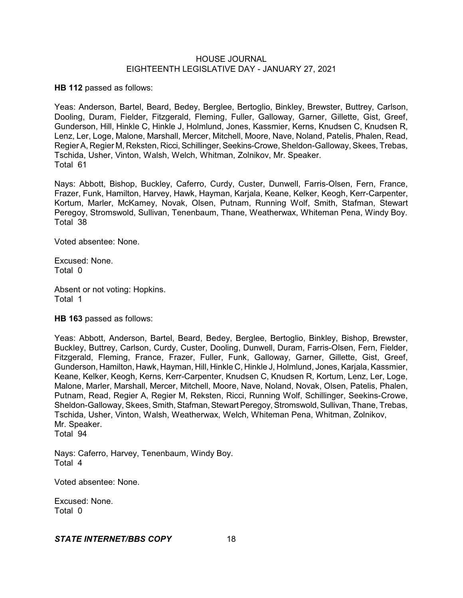**HB 112** passed as follows:

Yeas: Anderson, Bartel, Beard, Bedey, Berglee, Bertoglio, Binkley, Brewster, Buttrey, Carlson, Dooling, Duram, Fielder, Fitzgerald, Fleming, Fuller, Galloway, Garner, Gillette, Gist, Greef, Gunderson, Hill, Hinkle C, Hinkle J, Holmlund, Jones, Kassmier, Kerns, Knudsen C, Knudsen R, Lenz, Ler, Loge, Malone, Marshall, Mercer, Mitchell, Moore, Nave, Noland, Patelis, Phalen, Read, Regier A, Regier M, Reksten, Ricci, Schillinger, Seekins-Crowe, Sheldon-Galloway, Skees, Trebas, Tschida, Usher, Vinton, Walsh, Welch, Whitman, Zolnikov, Mr. Speaker. Total 61

Nays: Abbott, Bishop, Buckley, Caferro, Curdy, Custer, Dunwell, Farris-Olsen, Fern, France, Frazer, Funk, Hamilton, Harvey, Hawk, Hayman, Karjala, Keane, Kelker, Keogh, Kerr-Carpenter, Kortum, Marler, McKamey, Novak, Olsen, Putnam, Running Wolf, Smith, Stafman, Stewart Peregoy, Stromswold, Sullivan, Tenenbaum, Thane, Weatherwax, Whiteman Pena, Windy Boy. Total 38

Voted absentee: None.

Excused: None. Total 0

Absent or not voting: Hopkins. Total 1

**HB 163** passed as follows:

Yeas: Abbott, Anderson, Bartel, Beard, Bedey, Berglee, Bertoglio, Binkley, Bishop, Brewster, Buckley, Buttrey, Carlson, Curdy, Custer, Dooling, Dunwell, Duram, Farris-Olsen, Fern, Fielder, Fitzgerald, Fleming, France, Frazer, Fuller, Funk, Galloway, Garner, Gillette, Gist, Greef, Gunderson, Hamilton, Hawk, Hayman, Hill, Hinkle C, Hinkle J, Holmlund, Jones, Karjala, Kassmier, Keane, Kelker, Keogh, Kerns, Kerr-Carpenter, Knudsen C, Knudsen R, Kortum, Lenz, Ler, Loge, Malone, Marler, Marshall, Mercer, Mitchell, Moore, Nave, Noland, Novak, Olsen, Patelis, Phalen, Putnam, Read, Regier A, Regier M, Reksten, Ricci, Running Wolf, Schillinger, Seekins-Crowe, Sheldon-Galloway, Skees, Smith, Stafman, Stewart Peregoy, Stromswold, Sullivan, Thane, Trebas, Tschida, Usher, Vinton, Walsh, Weatherwax, Welch, Whiteman Pena, Whitman, Zolnikov, Mr. Speaker. Total 94

Nays: Caferro, Harvey, Tenenbaum, Windy Boy. Total 4

Voted absentee: None.

Excused: None. Total 0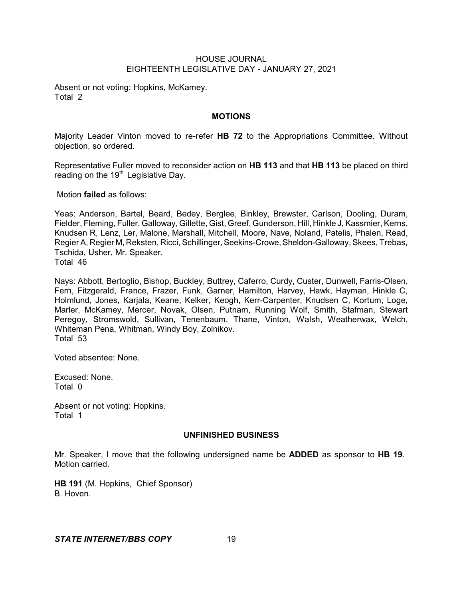Absent or not voting: Hopkins, McKamey. Total 2

## **MOTIONS**

Majority Leader Vinton moved to re-refer **HB 72** to the Appropriations Committee. Without objection, so ordered.

Representative Fuller moved to reconsider action on **HB 113** and that **HB 113** be placed on third reading on the  $19<sup>th</sup>$  Legislative Day.

Motion **failed** as follows:

Yeas: Anderson, Bartel, Beard, Bedey, Berglee, Binkley, Brewster, Carlson, Dooling, Duram, Fielder, Fleming, Fuller, Galloway, Gillette, Gist, Greef, Gunderson, Hill, Hinkle J, Kassmier, Kerns, Knudsen R, Lenz, Ler, Malone, Marshall, Mitchell, Moore, Nave, Noland, Patelis, Phalen, Read, Regier A, Regier M, Reksten, Ricci, Schillinger, Seekins-Crowe, Sheldon-Galloway, Skees, Trebas, Tschida, Usher, Mr. Speaker. Total 46

Nays: Abbott, Bertoglio, Bishop, Buckley, Buttrey, Caferro, Curdy, Custer, Dunwell, Farris-Olsen, Fern, Fitzgerald, France, Frazer, Funk, Garner, Hamilton, Harvey, Hawk, Hayman, Hinkle C, Holmlund, Jones, Karjala, Keane, Kelker, Keogh, Kerr-Carpenter, Knudsen C, Kortum, Loge, Marler, McKamey, Mercer, Novak, Olsen, Putnam, Running Wolf, Smith, Stafman, Stewart Peregoy, Stromswold, Sullivan, Tenenbaum, Thane, Vinton, Walsh, Weatherwax, Welch, Whiteman Pena, Whitman, Windy Boy, Zolnikov. Total 53

Voted absentee: None.

Excused: None. Total 0

Absent or not voting: Hopkins. Total 1

## **UNFINISHED BUSINESS**

Mr. Speaker, I move that the following undersigned name be **ADDED** as sponsor to **HB 19**. Motion carried.

**HB 191** (M. Hopkins, Chief Sponsor) B. Hoven.